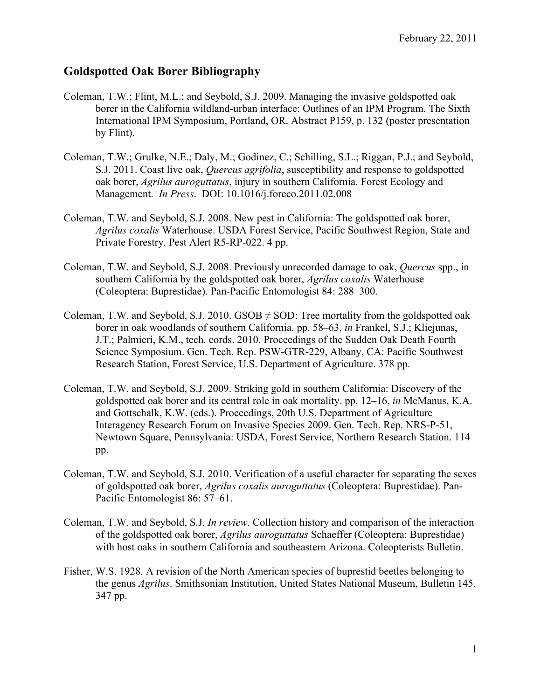## **Goldspotted Oak Borer Bibliography**

- Coleman, T.W.; Flint, M.L.; and Seybold, S.J. 2009. Managing the invasive goldspotted oak borer in the California wildland-urban interface: Outlines of an IPM Program. The Sixth International IPM Symposium, Portland, OR. Abstract P159, p. 132 (poster presentation by Flint).
- Coleman, T.W.; Grulke, N.E.; Daly, M.; Godinez, C.; Schilling, S.L.; Riggan, P.J.; and Seybold, S.J. 2011. Coast live oak, *Quercus agrifolia*, susceptibility and response to goldspotted oak borer, *Agrilus auroguttatus*, injury in southern California. Forest Ecology and Management. *In Press*. DOI: 10.1016/j.foreco.2011.02.008
- Coleman, T.W. and Seybold, S.J. 2008. New pest in California: The goldspotted oak borer, *Agrilus coxalis* Waterhouse. USDA Forest Service, Pacific Southwest Region, State and Private Forestry. Pest Alert R5-RP-022. 4 pp.
- Coleman, T.W. and Seybold, S.J. 2008. Previously unrecorded damage to oak, *Quercus* spp., in southern California by the goldspotted oak borer, *Agrilus coxalis* Waterhouse (Coleoptera: Buprestidae). Pan-Pacific Entomologist 84: 288–300.
- Coleman, T.W. and Seybold, S.J. 2010. GSOB  $\neq$  SOD: Tree mortality from the goldspotted oak borer in oak woodlands of southern California. pp. 58–63, *in* Frankel, S.J.; Kliejunas, J.T.; Palmieri, K.M., tech. cords. 2010. Proceedings of the Sudden Oak Death Fourth Science Symposium. Gen. Tech. Rep. PSW-GTR-229, Albany, CA: Pacific Southwest Research Station, Forest Service, U.S. Department of Agriculture. 378 pp.
- Coleman, T.W. and Seybold, S.J. 2009. Striking gold in southern California: Discovery of the goldspotted oak borer and its central role in oak mortality. pp. 12–16, *in* McManus, K.A. and Gottschalk, K.W. (eds.). Proceedings, 20th U.S. Department of Agriculture Interagency Research Forum on Invasive Species 2009. Gen. Tech. Rep. NRS-P-51, Newtown Square, Pennsylvania: USDA, Forest Service, Northern Research Station. 114 pp.
- Coleman, T.W. and Seybold, S.J. 2010. Verification of a useful character for separating the sexes of goldspotted oak borer, *Agrilus coxalis auroguttatus* (Coleoptera: Buprestidae). Pan-Pacific Entomologist 86: 57–61.
- Coleman, T.W. and Seybold, S.J. *In review*. Collection history and comparison of the interaction of the goldspotted oak borer, *Agrilus auroguttatus* Schaeffer (Coleoptera: Buprestidae) with host oaks in southern California and southeastern Arizona. Coleopterists Bulletin.
- Fisher, W.S. 1928. A revision of the North American species of buprestid beetles belonging to the genus *Agrilus*. Smithsonian Institution, United States National Museum, Bulletin 145. 347 pp.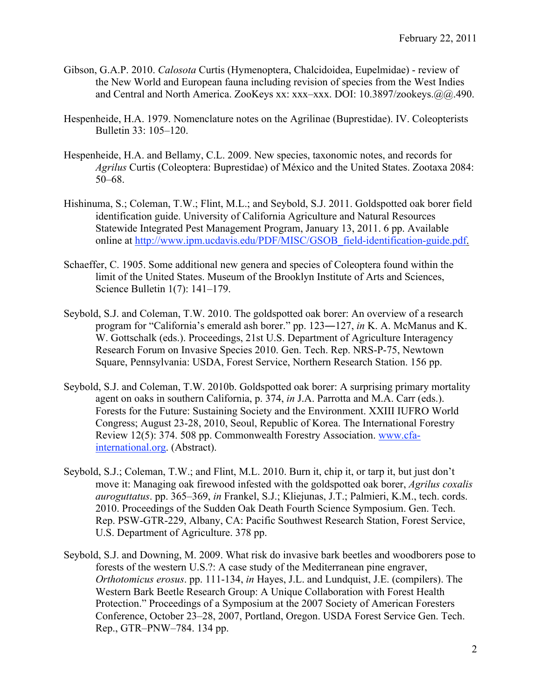- Gibson, G.A.P. 2010. *Calosota* Curtis (Hymenoptera, Chalcidoidea, Eupelmidae) review of the New World and European fauna including revision of species from the West Indies and Central and North America. ZooKeys xx: xxx–xxx. DOI: 10.3897/zookeys.@@.490.
- Hespenheide, H.A. 1979. Nomenclature notes on the Agrilinae (Buprestidae). IV. Coleopterists Bulletin 33: 105–120.
- Hespenheide, H.A. and Bellamy, C.L. 2009. New species, taxonomic notes, and records for *Agrilus* Curtis (Coleoptera: Buprestidae) of México and the United States. Zootaxa 2084: 50–68.
- Hishinuma, S.; Coleman, T.W.; Flint, M.L.; and Seybold, S.J. 2011. Goldspotted oak borer field identification guide. University of California Agriculture and Natural Resources Statewide Integrated Pest Management Program, January 13, 2011. 6 pp. Available online at http://www.ipm.ucdavis.edu/PDF/MISC/GSOB\_field-identification-guide.pdf.
- Schaeffer, C. 1905. Some additional new genera and species of Coleoptera found within the limit of the United States. Museum of the Brooklyn Institute of Arts and Sciences, Science Bulletin 1(7): 141–179.
- Seybold, S.J. and Coleman, T.W. 2010. The goldspotted oak borer: An overview of a research program for "California's emerald ash borer." pp. 123―127, *in* K. A. McManus and K. W. Gottschalk (eds.). Proceedings, 21st U.S. Department of Agriculture Interagency Research Forum on Invasive Species 2010. Gen. Tech. Rep. NRS-P-75, Newtown Square, Pennsylvania: USDA, Forest Service, Northern Research Station. 156 pp.
- Seybold, S.J. and Coleman, T.W. 2010b. Goldspotted oak borer: A surprising primary mortality agent on oaks in southern California, p. 374, *in* J.A. Parrotta and M.A. Carr (eds.). Forests for the Future: Sustaining Society and the Environment. XXIII IUFRO World Congress; August 23-28, 2010, Seoul, Republic of Korea. The International Forestry Review 12(5): 374. 508 pp. Commonwealth Forestry Association. www.cfainternational.org. (Abstract).
- Seybold, S.J.; Coleman, T.W.; and Flint, M.L. 2010. Burn it, chip it, or tarp it, but just don't move it: Managing oak firewood infested with the goldspotted oak borer, *Agrilus coxalis auroguttatus*. pp. 365–369, *in* Frankel, S.J.; Kliejunas, J.T.; Palmieri, K.M., tech. cords. 2010. Proceedings of the Sudden Oak Death Fourth Science Symposium. Gen. Tech. Rep. PSW-GTR-229, Albany, CA: Pacific Southwest Research Station, Forest Service, U.S. Department of Agriculture. 378 pp.
- Seybold, S.J. and Downing, M. 2009. What risk do invasive bark beetles and woodborers pose to forests of the western U.S.?: A case study of the Mediterranean pine engraver, *Orthotomicus erosus*. pp. 111-134, *in* Hayes, J.L. and Lundquist, J.E. (compilers). The Western Bark Beetle Research Group: A Unique Collaboration with Forest Health Protection." Proceedings of a Symposium at the 2007 Society of American Foresters Conference, October 23–28, 2007, Portland, Oregon. USDA Forest Service Gen. Tech. Rep., GTR–PNW–784. 134 pp.